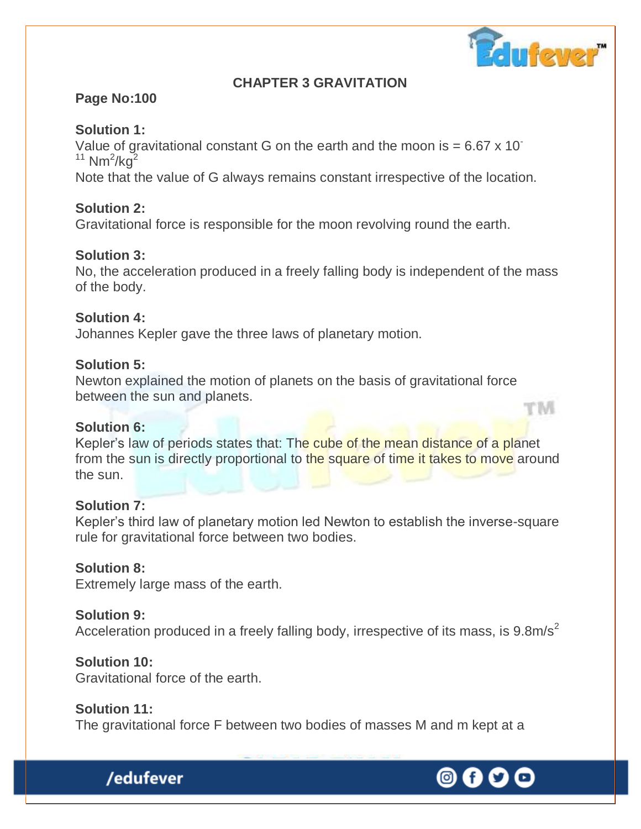

rivi

## **CHAPTER 3 GRAVITATION**

# **Page No:100**

# **Solution 1:**

Value of gravitational constant G on the earth and the moon is  $= 6.67 \times 10^{-7}$  $11$  Nm<sup>2</sup>/kg<sup>2</sup> Note that the value of G always remains constant irrespective of the location.

## **Solution 2:**

Gravitational force is responsible for the moon revolving round the earth.

## **Solution 3:**

No, the acceleration produced in a freely falling body is independent of the mass of the body.

#### **Solution 4:**

Johannes Kepler gave the three laws of planetary motion.

#### **Solution 5:**

Newton explained the motion of planets on the basis of gravitational force between the sun and planets.

#### **Solution 6:**

Kepler's law of periods states that: The cube of the mean distance of a planet from the sun is directly proportional to the square of time it takes to move around the sun.

#### **Solution 7:**

Kepler's third law of planetary motion led Newton to establish the inverse-square rule for gravitational force between two bodies.

## **Solution 8:**

Extremely large mass of the earth.

#### **Solution 9:**

Acceleration produced in a freely falling body, irrespective of its mass, is  $9.8 \text{m/s}^2$ 

## **Solution 10:**

Gravitational force of the earth.

## **Solution 11:**

The gravitational force F between two bodies of masses M and m kept at a



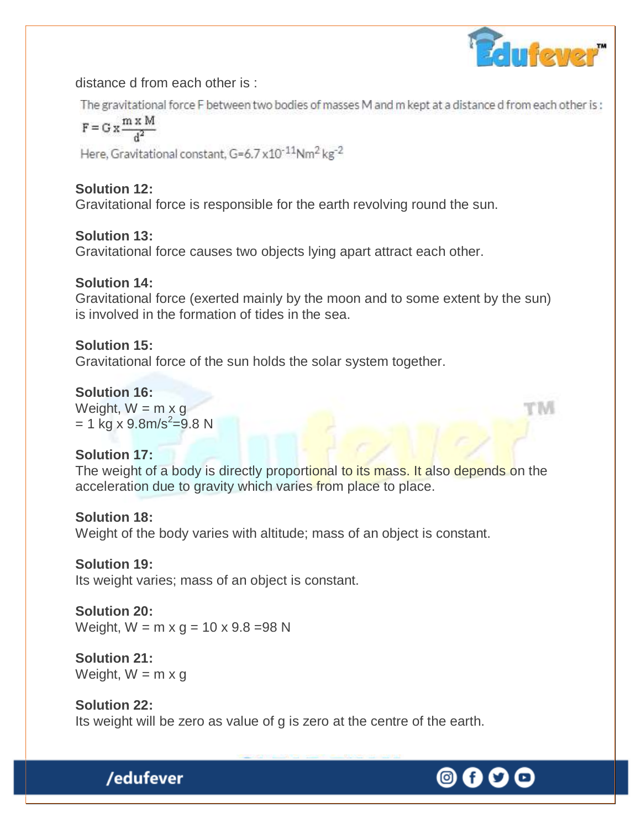

M

distance d from each other is :

The gravitational force F between two bodies of masses M and m kept at a distance d from each other is :

$$
F = G \times \frac{m \times M}{d^2}
$$

Here, Gravitational constant, G=6.7 x10<sup>-11</sup>Nm<sup>2</sup> kg<sup>-2</sup>

# **Solution 12:**

Gravitational force is responsible for the earth revolving round the sun.

# **Solution 13:**

Gravitational force causes two objects lying apart attract each other.

# **Solution 14:**

Gravitational force (exerted mainly by the moon and to some extent by the sun) is involved in the formation of tides in the sea.

# **Solution 15:**

Gravitational force of the sun holds the solar system together.

# **Solution 16:**

Weight,  $W = m \times g$  $= 1$  kg x 9.8m/s<sup>2</sup>=9.8 N

# **Solution 17:**

The weight of a body is directly proportional to its mass. It also depends on the acceleration due to gravity which varies from place to place.

## **Solution 18:**

Weight of the body varies with altitude; mass of an object is constant.

**Solution 19:** Its weight varies; mass of an object is constant.

**Solution 20:** Weight,  $W = m \times q = 10 \times 9.8 = 98$  N

## **Solution 21:** Weight,  $W = m \times q$

/edufever

**Solution 22:** Its weight will be zero as value of g is zero at the centre of the earth.

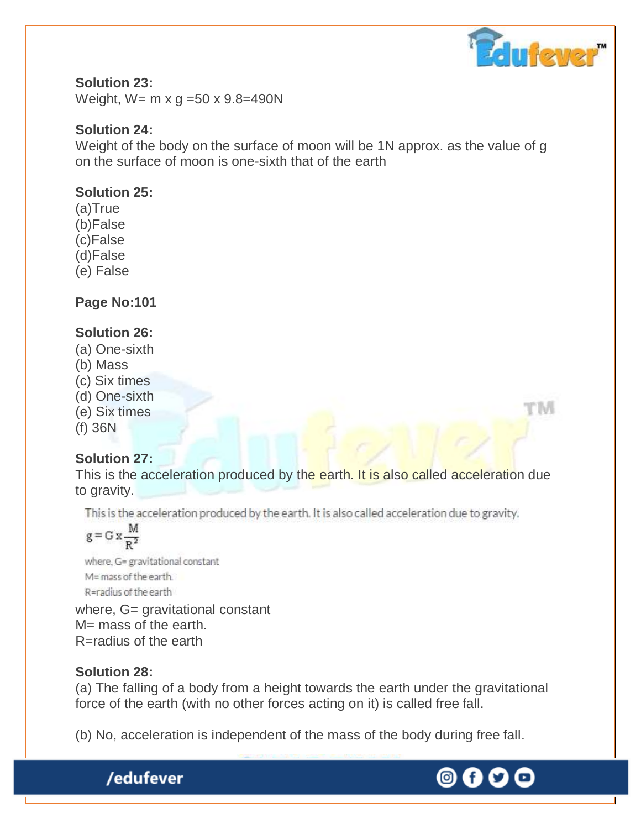

M

## **Solution 23:**

Weight, W= m x g =50 x 9.8=490N

## **Solution 24:**

Weight of the body on the surface of moon will be 1N approx. as the value of g on the surface of moon is one-sixth that of the earth

## **Solution 25:**

(a)True (b)False (c)False (d)False (e) False

**Page No:101** 

# **Solution 26:**

- (a) One-sixth
- (b) Mass
- (c) Six times
- (d) One-sixth
- (e) Six times
- (f) 36N

# **Solution 27:**

This is the acceleration produced by the earth. It is also called acceleration due to gravity.

This is the acceleration produced by the earth. It is also called acceleration due to gravity.

$$
g = G x \frac{M}{R^2}
$$

where, G= gravitational constant M=mass of the earth. R=radius of the earth

where, G= gravitational constant M= mass of the earth. R=radius of the earth

# **Solution 28:**

(a) The falling of a body from a height towards the earth under the gravitational force of the earth (with no other forces acting on it) is called free fall.

(b) No, acceleration is independent of the mass of the body during free fall.



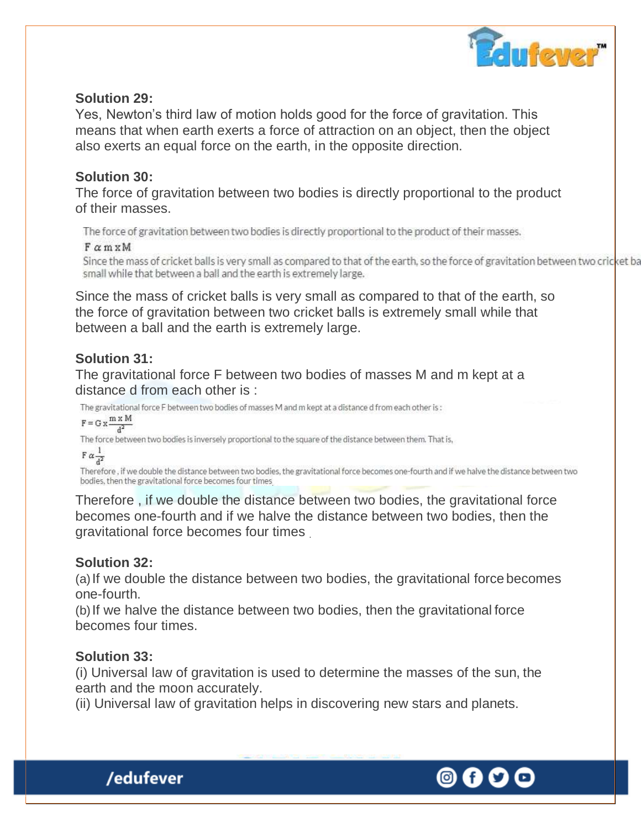

## **Solution 29:**

Yes, Newton's third law of motion holds good for the force of gravitation. This means that when earth exerts a force of attraction on an object, then the object also exerts an equal force on the earth, in the opposite direction.

#### **Solution 30:**

The force of gravitation between two bodies is directly proportional to the product of their masses.

The force of gravitation between two bodies is directly proportional to the product of their masses.

#### $F \alpha$  m  $xM$

Since the mass of cricket balls is very small as compared to that of the earth, so the force of gravitation between two cricket ba small while that between a ball and the earth is extremely large.

Since the mass of cricket balls is very small as compared to that of the earth, so the force of gravitation between two cricket balls is extremely small while that between a ball and the earth is extremely large.

## **Solution 31:**

The gravitational force F between two bodies of masses M and m kept at a distance d from each other is :

The gravitational force F between two bodies of masses M and m kept at a distance d from each other is:

 $F = G x \frac{m \times M}{d^2}$ 

The force between two bodies is inversely proportional to the square of the distance between them. That is,

 $F \alpha \frac{1}{J^2}$ 

Therefore, if we double the distance between two bodies, the gravitational force becomes one-fourth and if we halve the distance between two bodies, then the gravitational force becomes four times

Therefore , if we double the distance between two bodies, the gravitational force becomes one-fourth and if we halve the distance between two bodies, then the gravitational force becomes four times .

#### **Solution 32:**

(a)If we double the distance between two bodies, the gravitational force becomes one-fourth.

(b)If we halve the distance between two bodies, then the gravitational force becomes four times.

#### **Solution 33:**

/edufever

(i) Universal law of gravitation is used to determine the masses of the sun, the earth and the moon accurately.

(ii) Universal law of gravitation helps in discovering new stars and planets.

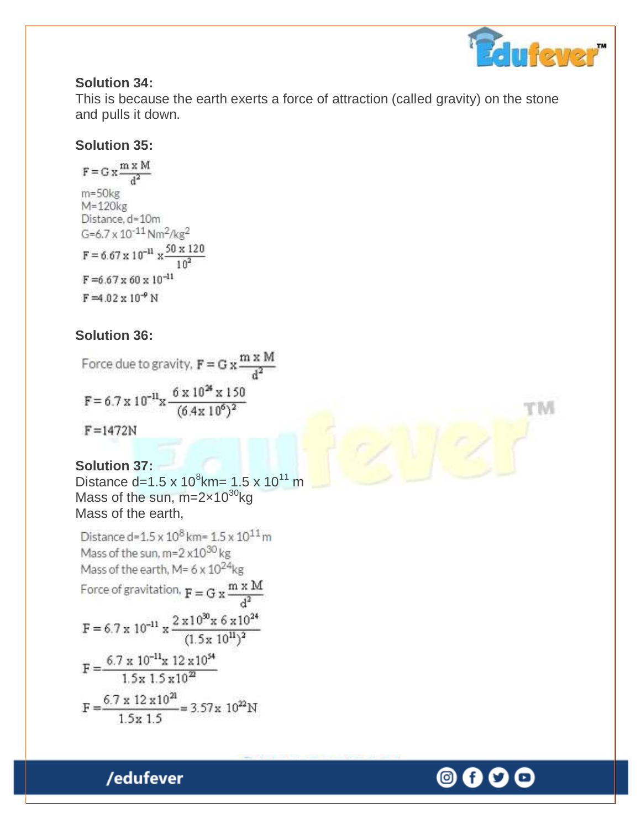

M

#### **Solution 34:**

This is because the earth exerts a force of attraction (called gravity) on the stone and pulls it down.

# **Solution 35:**

$$
F = G x \frac{m x M}{d^{2}}
$$
  
\nm=50kg  
\nM=120kg  
\nDistance, d=10m  
\nG=6.7 x 10<sup>-11</sup> Nm<sup>2</sup>/kg<sup>2</sup>  
\nF = 6.67 x 10<sup>-11</sup> x  $\frac{50 x 120}{10^{2}}$   
\nF=6.67 x 60 x 10<sup>-11</sup>  
\nF=4.02 x 10<sup>-9</sup> N

## **Solution 36:**

Force due to gravity,  $F = G x \frac{m \times M}{d^2}$  $F = 6.7 \times 10^{-11} \times \frac{6 \times 10^{24} \times 150}{(6.4 \times 10^6)^2}$  $F = 1472N$ 

## **Solution 37:**

Distance d=1.5 x  $10^8$ km= 1.5 x  $10^{11}$  m Mass of the sun,  $m=2\times10^{30}$ kg Mass of the earth,

Distance d= $1.5 \times 10^8$  km=  $1.5 \times 10^{11}$  m Mass of the sun, m=2 x10<sup>30</sup> kg Mass of the earth, M= 6 x 10<sup>24</sup>kg Force of gravitation,  $F = G x \frac{m \times M}{d^2}$  $\text{F} = 6.7 \times 10^{-11} \times \frac{2 \times 10^{30} \times 6 \times 10^{24}}{(1.5 \times 10^{11})^2}$  $F = \frac{6.7 \times 10^{-11} \times 12 \times 10^{54}}{1.5 \times 1.5 \times 10^{22}}$  $F = \frac{6.7 \times 12 \times 10^{21}}{1.5 \times 1.5} = 3.57 \times 10^{22} N$ 

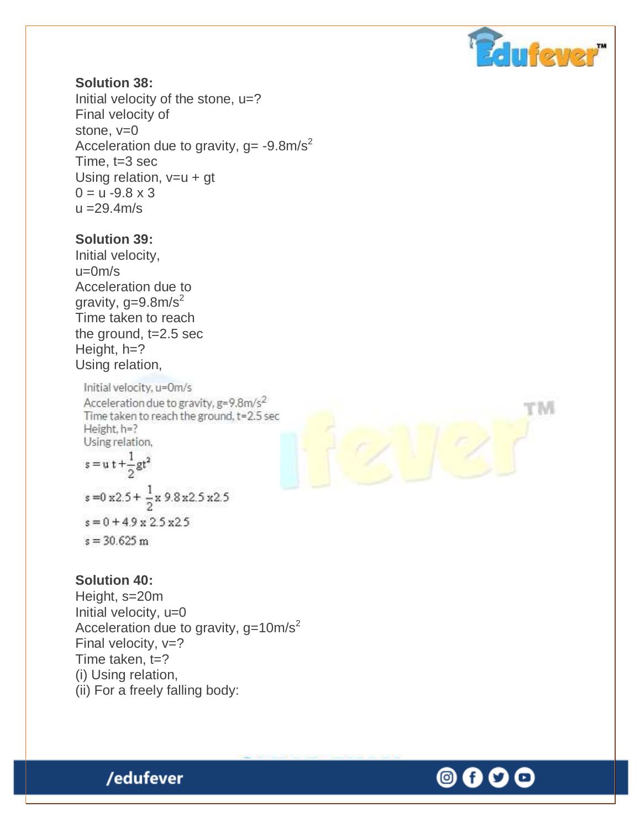

#### **Solution 38:**

Initial velocity of the stone, u=? Final velocity of stone,  $v=0$ Acceleration due to gravity,  $g = -9.8 \text{m/s}^2$ Time, t=3 sec Using relation,  $v=u + gt$  $0 = u - 9.8 \times 3$  $u = 29.4$ m/s

#### **Solution 39:**

Initial velocity, u=0m/s Acceleration due to gravity,  $g=9.8$ m/s<sup>2</sup> Time taken to reach the ground,  $t=2.5$  sec Height, h=? Using relation,

Initial velocity, u=0m/s Acceleration due to gravity,  $g = 9.8$ m/s<sup>2</sup> Time taken to reach the ground, t=2.5 sec Height, h=? Using relation,  $s = u t + \frac{1}{2}gt^2$ 

 $s = 0 x 2.5 + \frac{1}{2} x 9.8 x 2.5 x 2.5$  $s = 0 + 4.9 \times 2.5 \times 2.5$  $s = 30.625$  m

**Solution 40:** Height, s=20m Initial velocity,  $u=0$ Acceleration due to gravity,  $g=10m/s^2$ Final velocity,  $v=?$ Time taken, t=? (i) Using relation, (ii) For a freely falling body:



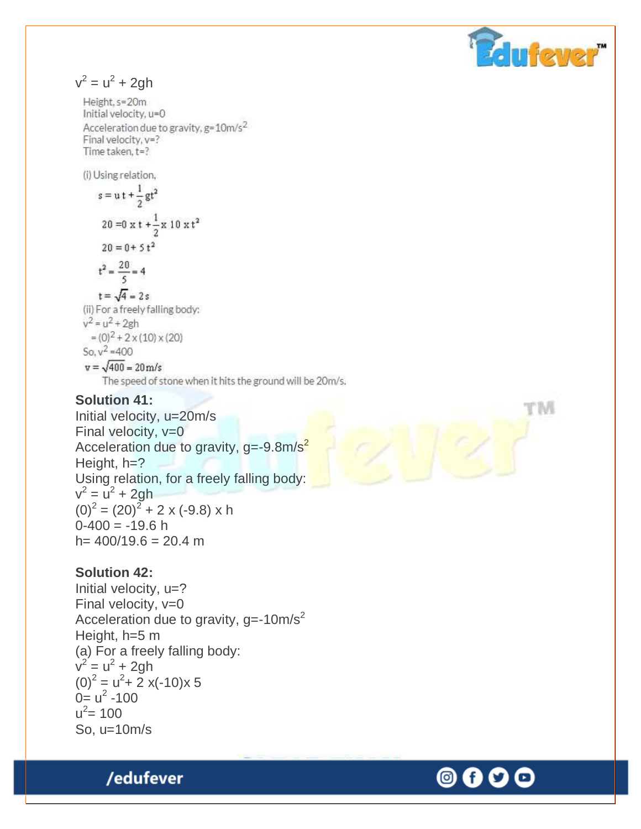

M

 $v^2 = u^2 + 2gh$ 

Height, s=20m Initial velocity, u=0 Acceleration due to gravity, g=10m/s<sup>2</sup> Final velocity, y=? Time taken, t=?

(i) Using relation.

 $s = u t + \frac{1}{2}gt^2$  $20 = 0 \times t + \frac{1}{2} \times 10 \times t^2$  $20 = 0 + 5t^2$  $t^2 = \frac{20}{5} = 4$  $t = \sqrt{4} = 2s$ (ii) For a freely falling body:  $v^2 = u^2 + 2gh$  $=(0)^2 + 2 \times (10) \times (20)$ So,  $v^2$  = 400  $v = \sqrt{400} = 20 \text{ m/s}$ 

The speed of stone when it hits the ground will be 20m/s.

#### **Solution 41:**

Initial velocity, u=20m/s Final velocity,  $v=0$ Acceleration due to gravity,  $g = -9.8 \text{m/s}^2$ Height, h=? Using relation, for a freely falling body:  $v^2 = u^2 + 2gh$  $(0)^{2} = (20)^{2} + 2 \times (-9.8) \times h$  $0-400 = -19.6$  h  $h= 400/19.6 = 20.4 m$ 

#### **Solution 42:**

Initial velocity,  $u=?$ Final velocity,  $v=0$ Acceleration due to gravity,  $g = -10 \text{m/s}^2$ Height, h=5 m (a) For a freely falling body:  $v^2 = u^2 + 2gh$  $(0)^2 = u^2 + 2x(-10)x$  5  $0 = u^2 - 100$  $u^2$  = 100 So, u=10m/s

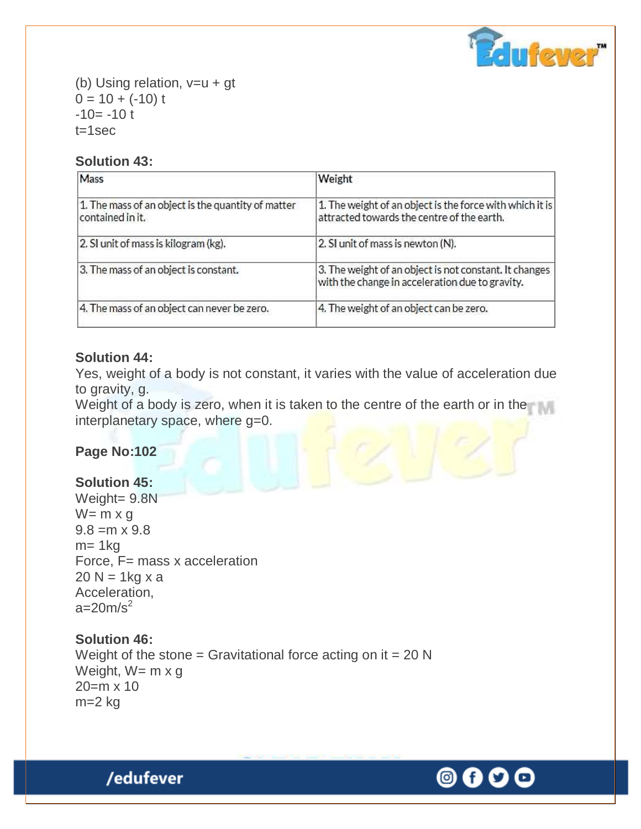

(b) Using relation,  $v=u + gt$  $0 = 10 + (-10) t$  $-10= -10$  t  $t = 1$ sec

#### **Solution 43:**

| Weight                                                                                                    |
|-----------------------------------------------------------------------------------------------------------|
| 1. The weight of an object is the force with which it is<br>attracted towards the centre of the earth.    |
| 2. SI unit of mass is newton (N).                                                                         |
| 3. The weight of an object is not constant. It changes<br>with the change in acceleration due to gravity. |
| 4. The weight of an object can be zero.                                                                   |
|                                                                                                           |

#### **Solution 44:**

Yes, weight of a body is not constant, it varies with the value of acceleration due to gravity, g.

Weight of a body is zero, when it is taken to the centre of the earth or in the interplanetary space, where g=0.

#### **Page No:102**

## **Solution 45:**

Weight= 9.8N  $W= m \times q$  $9.8 = m \times 9.8$  $m= 1kg$ Force, F= mass x acceleration  $20 N = 1kg x a$ Acceleration,  $a=20m/s^2$ 

# **Solution 46:**

Weight of the stone = Gravitational force acting on it =  $20 N$ Weight,  $W= m \times g$ 20=m x 10 m=2 kg

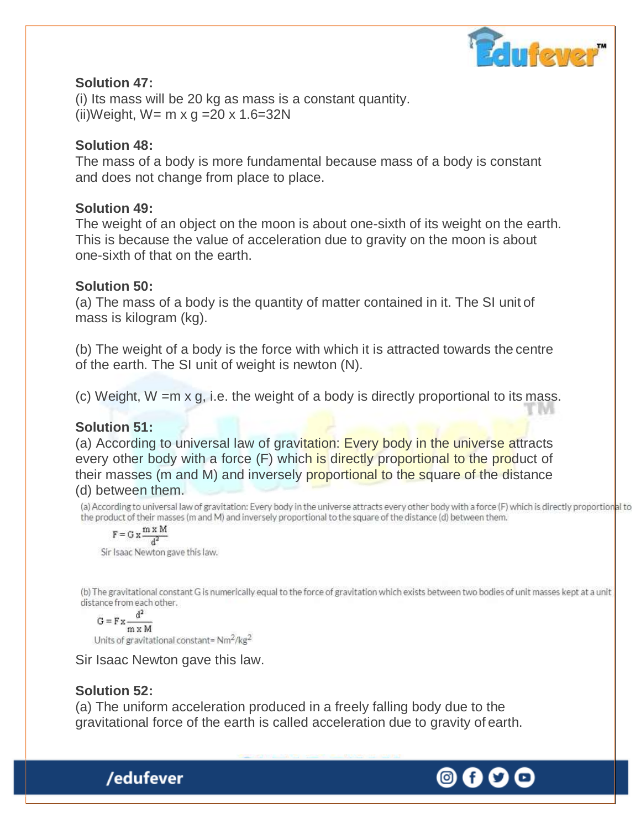

#### **Solution 47:**

(i) Its mass will be 20 kg as mass is a constant quantity. (ii) Weight,  $W = m \times g = 20 \times 1.6 = 32N$ 

#### **Solution 48:**

The mass of a body is more fundamental because mass of a body is constant and does not change from place to place.

## **Solution 49:**

The weight of an object on the moon is about one-sixth of its weight on the earth. This is because the value of acceleration due to gravity on the moon is about one-sixth of that on the earth.

## **Solution 50:**

(a) The mass of a body is the quantity of matter contained in it. The SI unit of mass is kilogram (kg).

(b) The weight of a body is the force with which it is attracted towards the centre of the earth. The SI unit of weight is newton (N).

(c) Weight, W =m x g, i.e. the weight of a body is directly proportional to its mass.

## **Solution 51:**

(a) According to universal law of gravitation: Every body in the universe attracts every other body with a force (F) which is directly proportional to the product of their masses (m and M) and inversely proportional to the square of the distance (d) between them.

(a) According to universal law of gravitation: Every body in the universe attracts every other body with a force (F) which is directly proportional to the product of their masses (m and M) and inversely proportional to the square of the distance (d) between them.

$$
F = G x \frac{m x M}{d^2}
$$

Sir Isaac Newton gave this law.

(b) The gravitational constant G is numerically equal to the force of gravitation which exists between two bodies of unit masses kept at a unit distance from each other.

$$
G = F x \frac{d^2}{m x M}
$$

/edufever

Units of gravitational constant= Nm<sup>2</sup>/kg<sup>2</sup>

Sir Isaac Newton gave this law.

## **Solution 52:**

(a) The uniform acceleration produced in a freely falling body due to the gravitational force of the earth is called acceleration due to gravity of earth.

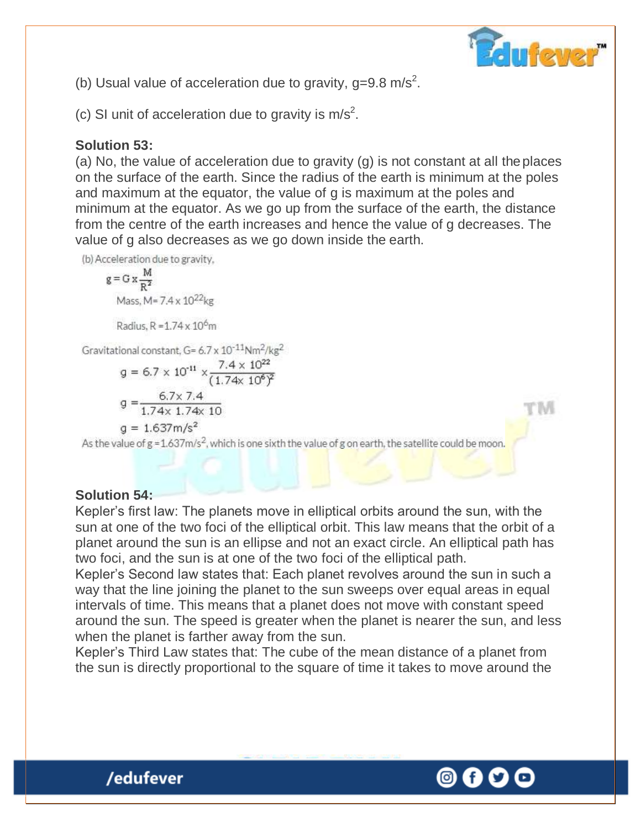

'N

(b) Usual value of acceleration due to gravity,  $g=9.8$  m/s<sup>2</sup>.

(c) SI unit of acceleration due to gravity is  $m/s<sup>2</sup>$ .

## **Solution 53:**

(a) No, the value of acceleration due to gravity (g) is not constant at all theplaces on the surface of the earth. Since the radius of the earth is minimum at the poles and maximum at the equator, the value of g is maximum at the poles and minimum at the equator. As we go up from the surface of the earth, the distance from the centre of the earth increases and hence the value of g decreases. The value of g also decreases as we go down inside the earth.

(b) Acceleration due to gravity,

$$
g = G \times \frac{M}{R^2}
$$

Mass, M= 7.4 x 10<sup>22</sup> kg

Radius,  $R = 1.74 \times 10^6$ m

Gravitational constant, G= 6.7 x 10<sup>-11</sup>Nm<sup>2</sup>/kg<sup>2</sup>

$$
g = 6.7 \times 10^{-11} \times \frac{7.4 \times 10^{22}}{(1.74 \times 10^6)^2}
$$

$$
g = \frac{6.7 \times 7.4}{1.74 \times 1.74 \times 10}
$$

$$
g = 1.637 \text{ m/s}^2
$$

As the value of  $g = 1.637$  m/s<sup>2</sup>, which is one sixth the value of g on earth, the satellite could be moon.

#### **Solution 54:**

/edufever

Kepler's first law: The planets move in elliptical orbits around the sun, with the sun at one of the two foci of the elliptical orbit. This law means that the orbit of a planet around the sun is an ellipse and not an exact circle. An elliptical path has two foci, and the sun is at one of the two foci of the elliptical path.

Kepler's Second law states that: Each planet revolves around the sun in such a way that the line joining the planet to the sun sweeps over equal areas in equal intervals of time. This means that a planet does not move with constant speed around the sun. The speed is greater when the planet is nearer the sun, and less when the planet is farther away from the sun.

Kepler's Third Law states that: The cube of the mean distance of a planet from the sun is directly proportional to the square of time it takes to move around the

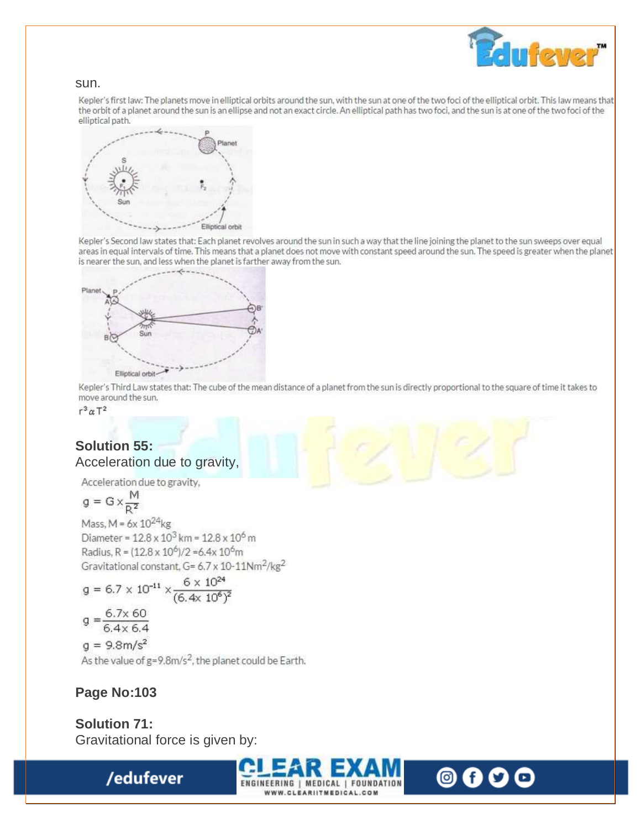

#### sun.

Kepler's first law: The planets move in elliptical orbits around the sun, with the sun at one of the two foci of the elliptical orbit. This law means that the orbit of a planet around the sun is an ellipse and not an exact circle. An elliptical path has two foci, and the sun is at one of the two foci of the elliptical path.



Kepler's Second law states that: Each planet revolves around the sun in such a way that the line joining the planet to the sun sweeps over equal areas in equal intervals of time. This means that a planet does not move with constant speed around the sun. The speed is greater when the planet is nearer the sun, and less when the planet is farther away from the sun.



Kepler's Third Law states that: The cube of the mean distance of a planet from the sun is directly proportional to the square of time it takes to move around the sun.

© 0

 $r^3 \alpha T^2$ 

#### **Solution 55:** Acceleration due to gravity,

Acceleration due to gravity,

$$
g = G \times \frac{M}{R^2}
$$

Mass,  $M = 6x 10^{24}$ kg Diameter =  $12.8 \times 10^3$  km =  $12.8 \times 10^6$  m Radius, R =  $(12.8 \times 10^6)/2 = 6.4 \times 10^6$ m Gravitational constant, G= 6.7 x 10-11Nm<sup>2</sup>/kg<sup>2</sup>

$$
g = 6.7 \times 10^{-11} \times \frac{6 \times 10^{24}}{(6.4 \times 10^6)^2}
$$

$$
q = \frac{6.7 \times 60}{}
$$

 $6.4 \times 6.4$ 

 $q = 9.8 \text{m/s}^2$ 

As the value of  $g = 9.8$ m/s<sup>2</sup>, the planet could be Earth.

**FNGINFERING** 

**MEDICAL** 

WWW.CLEARIITMEDICAL.COM

**I FOUNDATION** 

#### **Page No:103**

**Solution 71:** Gravitational force is given by: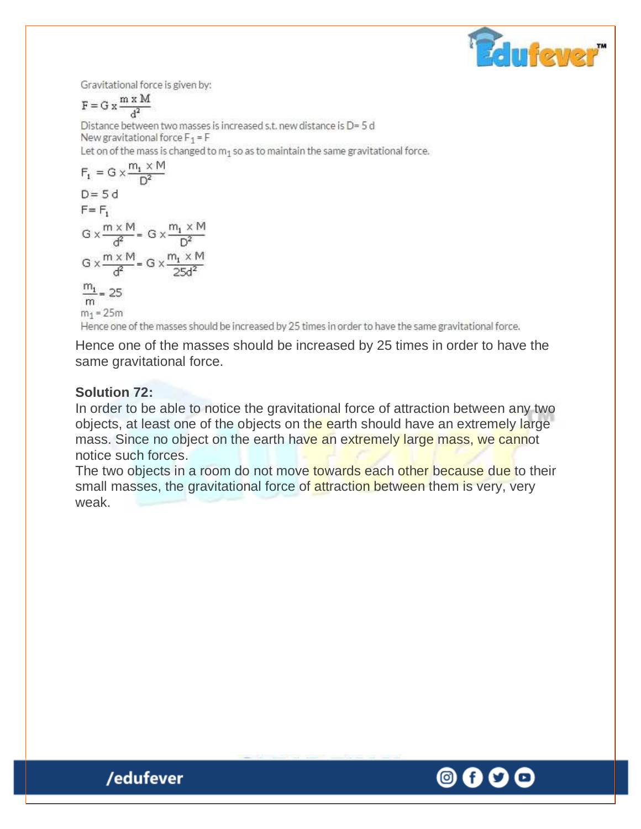

Gravitational force is given by:

$$
F = G x \frac{m x M}{d^2}
$$

Distance between two masses is increased s.t. new distance is D= 5 d New gravitational force  $F_1 = F$ Let on of the mass is changed to  $m_1$  so as to maintain the same gravitational force.

$$
F_1 = G \times \frac{m_1 \times M}{D^2}
$$
  
\n
$$
D = 5 d
$$
  
\n
$$
F = F_1
$$
  
\n
$$
G \times \frac{m \times M}{d^2} = G \times \frac{m_1 \times M}{D^2}
$$
  
\n
$$
G \times \frac{m \times M}{d^2} = G \times \frac{m_1 \times M}{25d^2}
$$
  
\n
$$
\frac{m_1}{m} = 25
$$
  
\n
$$
m_1 = 25m
$$

Hence one of the masses should be increased by 25 times in order to have the same gravitational force.

Hence one of the masses should be increased by 25 times in order to have the same gravitational force.

#### **Solution 72:**

In order to be able to notice the gravitational force of attraction between any two objects, at least one of the objects on the earth should have an extremely large mass. Since no object on the earth have an extremely large mass, we cannot notice such forces.

The two objects in a room do not move towards each other because due to their small masses, the gravitational force of attraction between them is very, very weak.

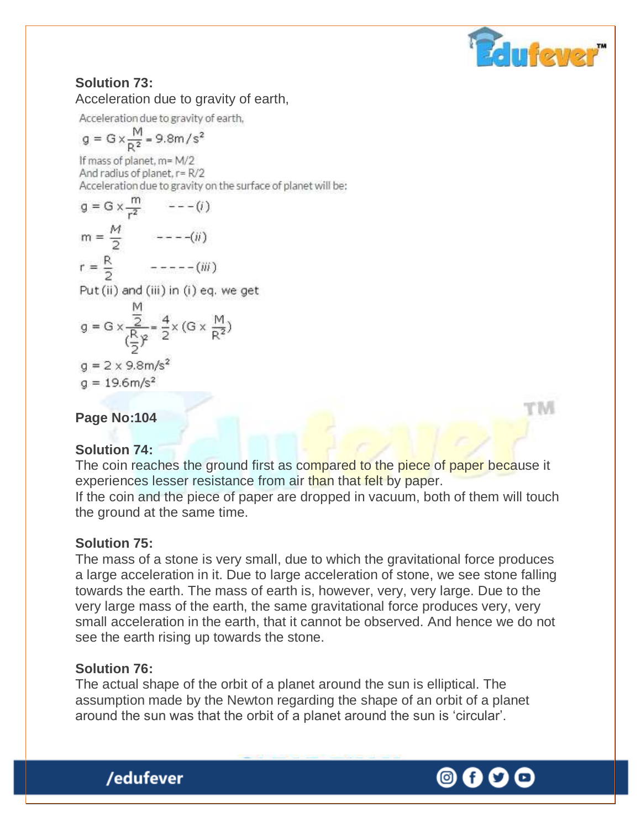

M

# **Solution 73:**

Acceleration due to gravity of earth,

Acceleration due to gravity of earth,

$$
g = G \times \frac{M}{R^2} = 9.8 \text{m/s}^2
$$

If mass of planet, m= M/2 And radius of planet, r= R/2 Acceleration due to gravity on the surface of planet will be:

$$
g = G \times \frac{m}{r^2} \qquad ---(i)
$$
  
\n
$$
m = \frac{M}{2} \qquad ---(ii)
$$
  
\n
$$
r = \frac{R}{2} \qquad -----(iii)
$$
  
\nPut (ii) and (iii) in (i) eq. we get  
\n
$$
g = G \times \frac{\frac{M}{2}}{(\frac{R}{2})^2} = \frac{4}{2} \times (G \times \frac{M}{R^2})
$$

 $g = 2 \times 9.8 \text{m/s}^2$  $q = 19.6$ m/s<sup>2</sup>

**Page No:104** 

#### **Solution 74:**

The coin reaches the ground first as compared to the piece of paper because it experiences lesser resistance from air than that felt by paper. If the coin and the piece of paper are dropped in vacuum, both of them will touch the ground at the same time.

#### **Solution 75:**

The mass of a stone is very small, due to which the gravitational force produces a large acceleration in it. Due to large acceleration of stone, we see stone falling towards the earth. The mass of earth is, however, very, very large. Due to the very large mass of the earth, the same gravitational force produces very, very small acceleration in the earth, that it cannot be observed. And hence we do not see the earth rising up towards the stone.

#### **Solution 76:**

/edufever

The actual shape of the orbit of a planet around the sun is elliptical. The assumption made by the Newton regarding the shape of an orbit of a planet around the sun was that the orbit of a planet around the sun is 'circular'.

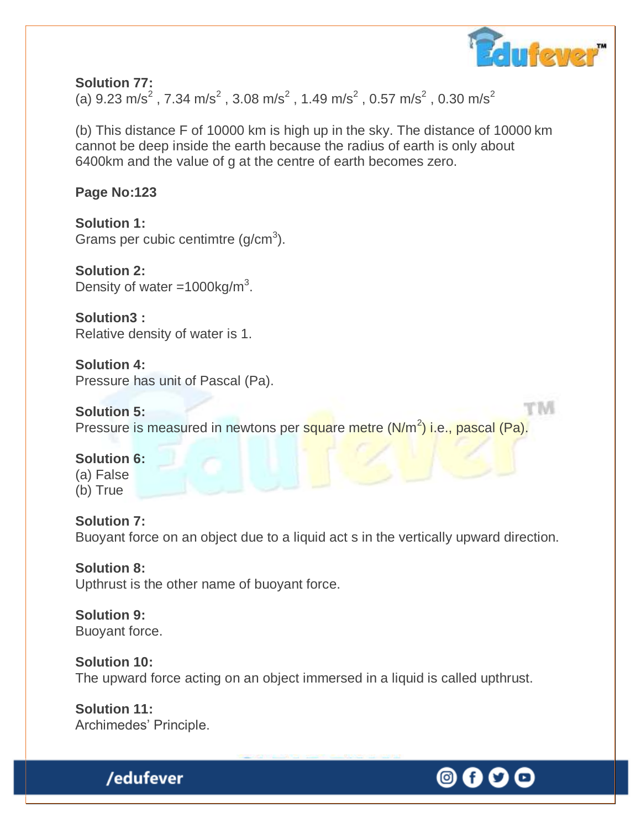

**Solution 77:** (a) 9.23 m/s<sup>2</sup>, 7.34 m/s<sup>2</sup>, 3.08 m/s<sup>2</sup>, 1.49 m/s<sup>2</sup>, 0.57 m/s<sup>2</sup>, 0.30 m/s<sup>2</sup>

(b) This distance F of 10000 km is high up in the sky. The distance of 10000 km cannot be deep inside the earth because the radius of earth is only about 6400km and the value of g at the centre of earth becomes zero.

**Page No:123** 

**Solution 1:** Grams per cubic centimtre  $(g/cm<sup>3</sup>)$ .

**Solution 2:** Density of water =  $1000 \text{kg/m}^3$ .

**Solution3 :** Relative density of water is 1.

**Solution 4:** Pressure has unit of Pascal (Pa).

TM **Solution 5:** Pressure is measured in newtons per square metre (N/m<sup>2</sup>) i.e., pascal (Pa).

#### **Solution 6:** (a) False (b) True

**Solution 7:** Buoyant force on an object due to a liquid act s in the vertically upward direction.

**Solution 8:** Upthrust is the other name of buoyant force.

#### **Solution 9:** Buoyant force.

**Solution 10:** The upward force acting on an object immersed in a liquid is called upthrust.

**Solution 11:** Archimedes' Principle.

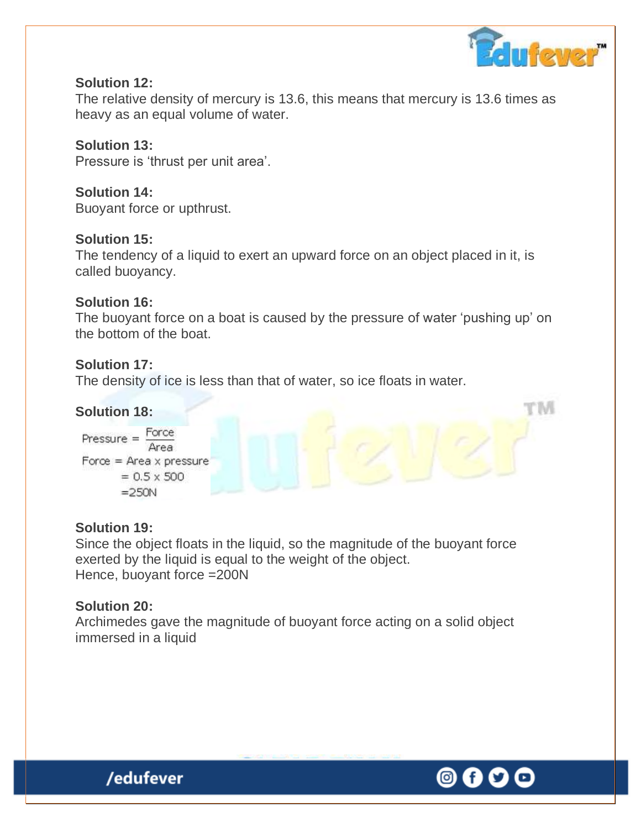

#### **Solution 12:**

The relative density of mercury is 13.6, this means that mercury is 13.6 times as heavy as an equal volume of water.

# **Solution 13:**

Pressure is 'thrust per unit area'.

**Solution 14:** Buoyant force or upthrust.

## **Solution 15:**

The tendency of a liquid to exert an upward force on an object placed in it, is called buoyancy.

#### **Solution 16:**

The buoyant force on a boat is caused by the pressure of water 'pushing up' on the bottom of the boat.

#### **Solution 17:**

The density of ice is less than that of water, so ice floats in water.

#### **Solution 18:**

```
Pressure = \frac{Force}{Area}Area
Force = Area \times pressure= 0.5 \times 500=250N
```
#### **Solution 19:**

Since the object floats in the liquid, so the magnitude of the buoyant force exerted by the liquid is equal to the weight of the object. Hence, buoyant force =200N

## **Solution 20:**

Archimedes gave the magnitude of buoyant force acting on a solid object immersed in a liquid



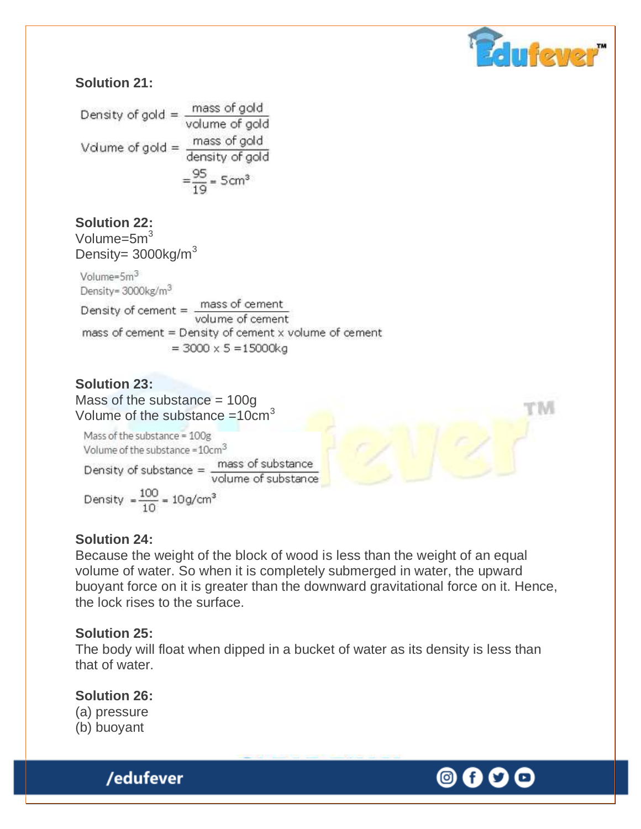

## **Solution 21:**

Density of gold =  $\frac{\text{mass of gold}}{\text{volume of gold}}$ Volume of gold =  $\frac{\text{mass of gold}}{\text{density of gold}}$  $=\frac{95}{19}$  = 5 cm<sup>3</sup>

**Solution 22:** Volume= $5m<sup>3</sup>$ Density=  $3000kg/m<sup>3</sup>$ 

Volume=5m<sup>3</sup> Density= 3000kg/m<sup>3</sup> Density of cement =  $\frac{mass\ of\ cement}{volume\ of\ cement}$ volume of cement mass of cement = Density of cement  $x$  volume of cement  $= 3000 \times 5 = 15000$ kg

#### **Solution 23:**

Mass of the substance = 100g Volume of the substance  $=10 \text{cm}^3$ 

Mass of the substance = 100g Volume of the substance =  $10cm<sup>3</sup>$ 

Density of substance  $=$   $\frac{\text{mass of substance}}{\text{volume of substance}}$ 

Density =  $\frac{100}{10}$  = 10g/cm<sup>3</sup>

#### **Solution 24:**

Because the weight of the block of wood is less than the weight of an equal volume of water. So when it is completely submerged in water, the upward buoyant force on it is greater than the downward gravitational force on it. Hence, the lock rises to the surface.

#### **Solution 25:**

The body will float when dipped in a bucket of water as its density is less than that of water.

#### **Solution 26:**

(a) pressure (b) buoyant



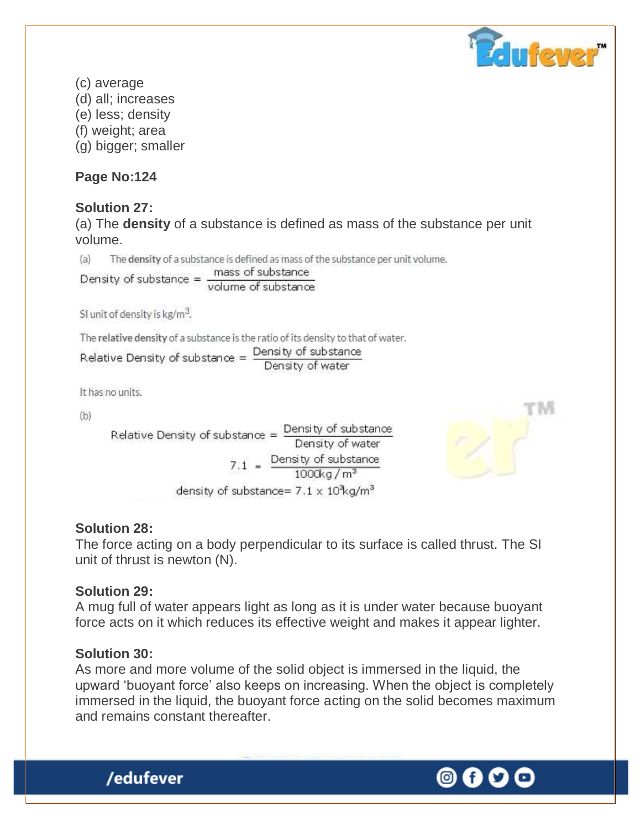

(c) average (d) all; increases (e) less; density (f) weight; area (g) bigger; smaller **Page No:124 Solution 27:** (a) The **density** of a substance is defined as mass of the substance per unit volume. (a) The density of a substance is defined as mass of the substance per unit volume. Density of substance  $=$   $\frac{\text{mass of substance}}{\text{volume of substance}}$ SI unit of density is kg/m<sup>3</sup>. The relative density of a substance is the ratio of its density to that of water. Relative Density of substance =  $\frac{\text{Density of substance}}{\text{Density of water}}$ Density of water It has no units.  $(b)$ Relative Density of substance =  $\frac{\text{Density of substance}}{\text{Density of water}}$ Density of water  $7.1 = \frac{\text{Density of substance}}{1000}$ 

#### **Solution 28:**

The force acting on a body perpendicular to its surface is called thrust. The SI unit of thrust is newton (N).

density of substance=  $7.1 \times 10^2$ kg/m<sup>3</sup>

 $1000$ kg /  $m<sup>3</sup>$ 

#### **Solution 29:**

A mug full of water appears light as long as it is under water because buoyant force acts on it which reduces its effective weight and makes it appear lighter.

#### **Solution 30:**

/edufever

As more and more volume of the solid object is immersed in the liquid, the upward 'buoyant force' also keeps on increasing. When the object is completely immersed in the liquid, the buoyant force acting on the solid becomes maximum and remains constant thereafter.

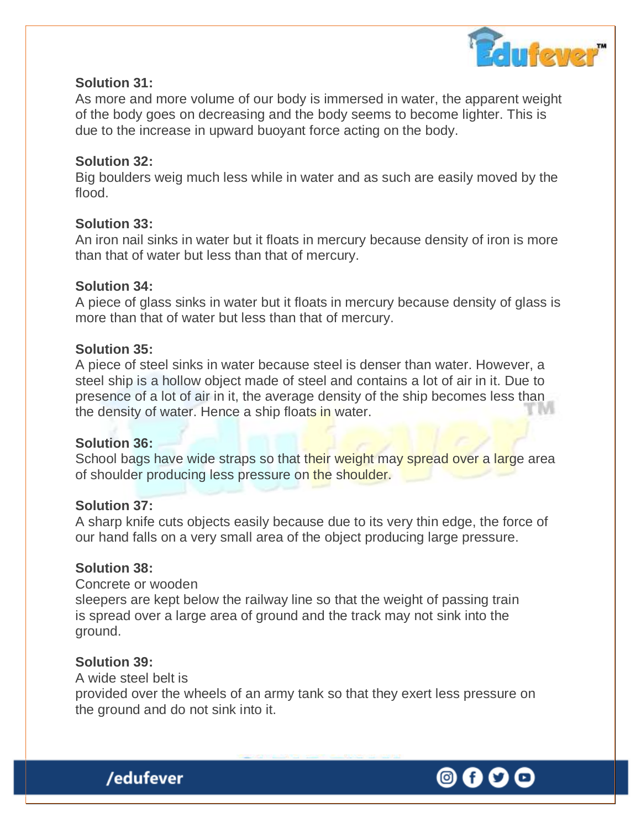

#### **Solution 31:**

As more and more volume of our body is immersed in water, the apparent weight of the body goes on decreasing and the body seems to become lighter. This is due to the increase in upward buoyant force acting on the body.

#### **Solution 32:**

Big boulders weig much less while in water and as such are easily moved by the flood.

#### **Solution 33:**

An iron nail sinks in water but it floats in mercury because density of iron is more than that of water but less than that of mercury.

#### **Solution 34:**

A piece of glass sinks in water but it floats in mercury because density of glass is more than that of water but less than that of mercury.

#### **Solution 35:**

A piece of steel sinks in water because steel is denser than water. However, a steel ship is a hollow object made of steel and contains a lot of air in it. Due to presence of a lot of air in it, the average density of the ship becomes less than the density of water. Hence a ship floats in water.

#### **Solution 36:**

School bags have wide straps so that their weight may spread over a large area of shoulder producing less pressure on the shoulder.

#### **Solution 37:**

A sharp knife cuts objects easily because due to its very thin edge, the force of our hand falls on a very small area of the object producing large pressure.

#### **Solution 38:**

Concrete or wooden sleepers are kept below the railway line so that the weight of passing train is spread over a large area of ground and the track may not sink into the ground.

#### **Solution 39:**

A wide steel belt is

/edufever

provided over the wheels of an army tank so that they exert less pressure on the ground and do not sink into it.



O f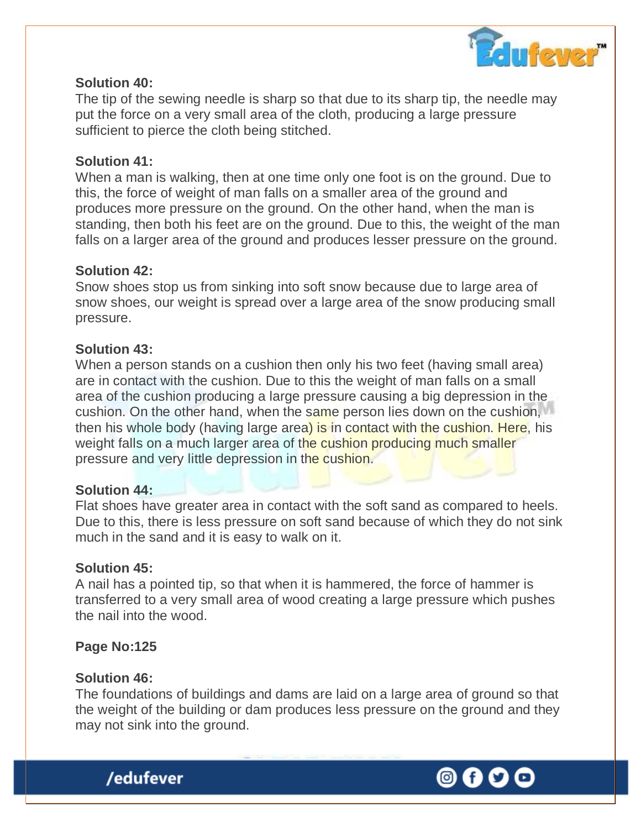

#### **Solution 40:**

The tip of the sewing needle is sharp so that due to its sharp tip, the needle may put the force on a very small area of the cloth, producing a large pressure sufficient to pierce the cloth being stitched.

#### **Solution 41:**

When a man is walking, then at one time only one foot is on the ground. Due to this, the force of weight of man falls on a smaller area of the ground and produces more pressure on the ground. On the other hand, when the man is standing, then both his feet are on the ground. Due to this, the weight of the man falls on a larger area of the ground and produces lesser pressure on the ground.

#### **Solution 42:**

Snow shoes stop us from sinking into soft snow because due to large area of snow shoes, our weight is spread over a large area of the snow producing small pressure.

#### **Solution 43:**

When a person stands on a cushion then only his two feet (having small area) are in contact with the cushion. Due to this the weight of man falls on a small area of the cushion producing a large pressure causing a big depression in the cushion. On the other hand, when the same person lies down on the cushion, then his whole body (having large area) is in contact with the cushion. Here, his weight falls on a much larger area of the cushion producing much smaller pressure and very little depression in the cushion.

#### **Solution 44:**

Flat shoes have greater area in contact with the soft sand as compared to heels. Due to this, there is less pressure on soft sand because of which they do not sink much in the sand and it is easy to walk on it.

#### **Solution 45:**

A nail has a pointed tip, so that when it is hammered, the force of hammer is transferred to a very small area of wood creating a large pressure which pushes the nail into the wood.

## **Page No:125**

#### **Solution 46:**

The foundations of buildings and dams are laid on a large area of ground so that the weight of the building or dam produces less pressure on the ground and they may not sink into the ground.



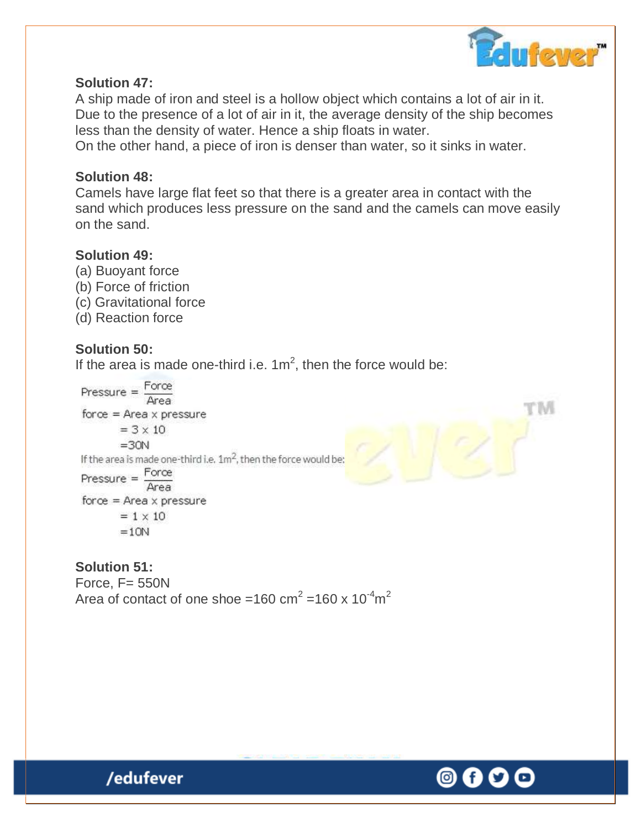

#### **Solution 47:**

A ship made of iron and steel is a hollow object which contains a lot of air in it. Due to the presence of a lot of air in it, the average density of the ship becomes less than the density of water. Hence a ship floats in water.

On the other hand, a piece of iron is denser than water, so it sinks in water.

#### **Solution 48:**

Camels have large flat feet so that there is a greater area in contact with the sand which produces less pressure on the sand and the camels can move easily on the sand.

#### **Solution 49:**

- (a) Buoyant force (b) Force of friction (c) Gravitational force
- (d) Reaction force

#### **Solution 50:**

If the area is made one-third i.e.  $1m^2$ , then the force would be:

Pressure =  $\frac{Force}{Area}$  $force = Area \times pressure$  $= 3 \times 10$  $=30N$ If the area is made one-third i.e.  $1m^2$ , then the force would be:  $\mathsf{Press} \mathsf{ure} = \frac{\mathsf{Force}}{\mathsf{Area}}$  $force = Area \times pressure$  $= 1 \times 10$  $=10N$ 

#### **Solution 51:**

Force,  $F = 550N$ Area of contact of one shoe =160 cm<sup>2</sup> =160 x 10<sup>-4</sup>m<sup>2</sup>

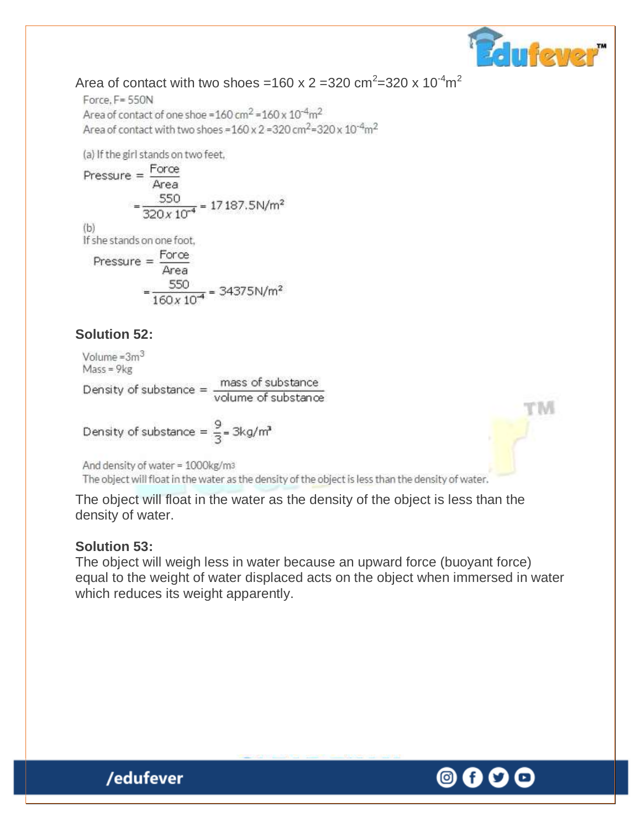

# Area of contact with two shoes =160 x 2 =320 cm<sup>2</sup>=320 x 10<sup>-4</sup>m<sup>2</sup>

Force,  $F = 550N$ Area of contact of one shoe =  $160 \text{ cm}^2$  =  $160 \times 10^{-4} \text{m}^2$ Area of contact with two shoes =  $160 \times 2 = 320 \text{ cm}^2 = 320 \times 10^{-4} \text{m}^2$ 

(a) If the girl stands on two feet,

$$
Pressure = \frac{Force}{Area}
$$
  
= 
$$
\frac{550}{320 \times 10^{-4}} = 17187.5 N/m^{2}
$$
  
(b)

If she stands on one foot,

$$
Pressure = \frac{Force}{Area}
$$

$$
= \frac{550}{160 \times 10^{-4}} = 34375 N/m2
$$

#### **Solution 52:**

Volume =  $3m<sup>3</sup>$  $Mass = 9kg$ 

Density of substance  $=$   $\frac{\text{mass of substance}}{\text{volume of substance}}$ 

Density of substance = 
$$
\frac{9}{3}
$$
 = 3kg/m<sup>3</sup>

And density of water = 1000kg/m3

The object will float in the water as the density of the object is less than the density of water.

The object will float in the water as the density of the object is less than the density of water.

#### **Solution 53:**

The object will weigh less in water because an upward force (buoyant force) equal to the weight of water displaced acts on the object when immersed in water which reduces its weight apparently.

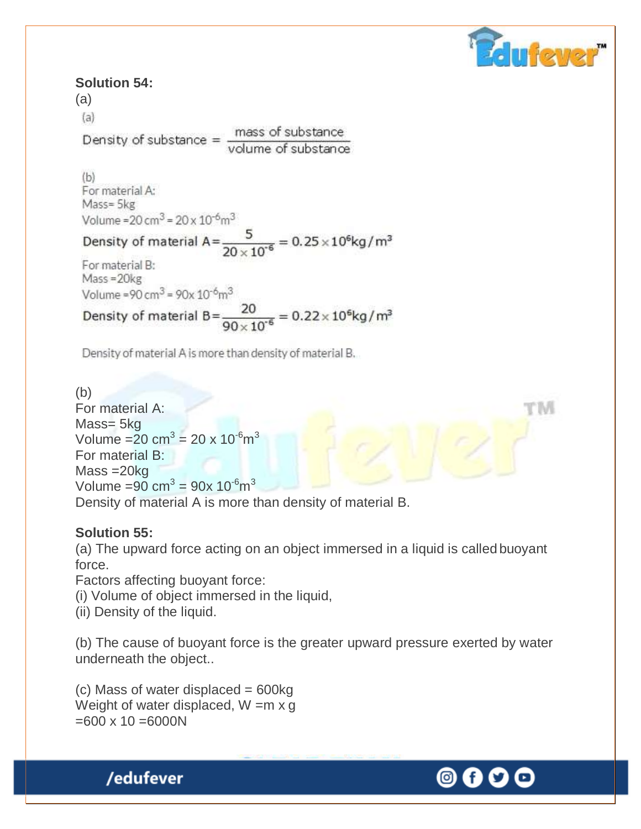

#### **Solution 54:**

(a)

 $(a)$ Density of substance  $=$   $\frac{\text{mass of substance}}{\text{volume of substance}}$ 

 $(b)$ For material A: Mass=5kg Volume =  $20 \text{ cm}^3$  =  $20 \times 10^{-6} \text{m}^3$ 

Density of material  $A = \frac{5}{20 \times 10^{-6}} = 0.25 \times 10^6 \text{kg/m}^3$ 

For material B:  $Mass = 20<sub>kg</sub>$ Volume = 90 cm<sup>3</sup> = 90x  $10^{-6}$ m<sup>3</sup>

Density of material  $B = \frac{20}{90 \times 10^{-6}} = 0.22 \times 10^{6} \text{kg/m}^3$ 

Density of material A is more than density of material B.

(b) For material A: Mass= 5kg Volume =  $20 \text{ cm}^3$  =  $20 \times 10^{-6} \text{m}^3$ For material B: Mass =20kg Volume = $90 \text{ cm}^3 = 90 \text{x} 10^{-6} \text{m}^3$ 

Density of material A is more than density of material B.

#### **Solution 55:**

(a) The upward force acting on an object immersed in a liquid is called buoyant force.

Factors affecting buoyant force:

(i) Volume of object immersed in the liquid,

(ii) Density of the liquid.

(b) The cause of buoyant force is the greater upward pressure exerted by water underneath the object..

 $(c)$  Mass of water displaced = 600kg Weight of water displaced,  $W = m \times g$  $=600 \times 10 = 6000N$ 

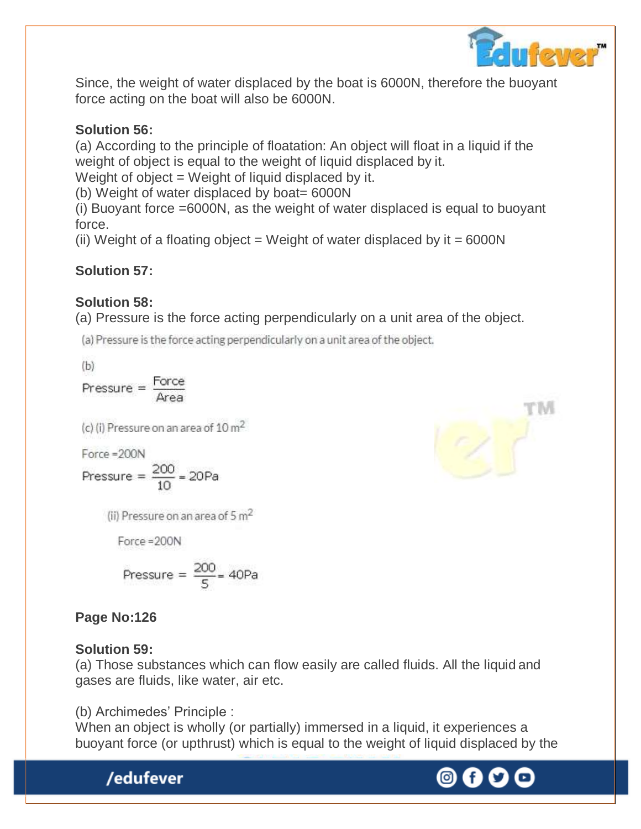

Since, the weight of water displaced by the boat is 6000N, therefore the buoyant force acting on the boat will also be 6000N.

# **Solution 56:**

(a) According to the principle of floatation: An object will float in a liquid if the weight of object is equal to the weight of liquid displaced by it.

Weight of object = Weight of liquid displaced by it.

(b) Weight of water displaced by boat= 6000N

(i) Buoyant force =6000N, as the weight of water displaced is equal to buoyant force.

(ii) Weight of a floating object = Weight of water displaced by it =  $6000N$ 

# **Solution 57:**

# **Solution 58:**

(a) Pressure is the force acting perpendicularly on a unit area of the object.

(a) Pressure is the force acting perpendicularly on a unit area of the object.

 $(b)$ 

Pressure =  $\frac{Force}{Area}$ 

(c) (i) Pressure on an area of 10 m<sup>2</sup>

 $Force = 200N$ 

$$
Pressure = \frac{200}{10} = 20Pa
$$

(ii) Pressure on an area of 5  $m<sup>2</sup>$ 

Force = 200N

$$
Pressure = \frac{200}{5} = 40Pa
$$

# **Page No:126**

# **Solution 59:**

(a) Those substances which can flow easily are called fluids. All the liquid and gases are fluids, like water, air etc.

# (b) Archimedes' Principle :

When an object is wholly (or partially) immersed in a liquid, it experiences a buoyant force (or upthrust) which is equal to the weight of liquid displaced by the



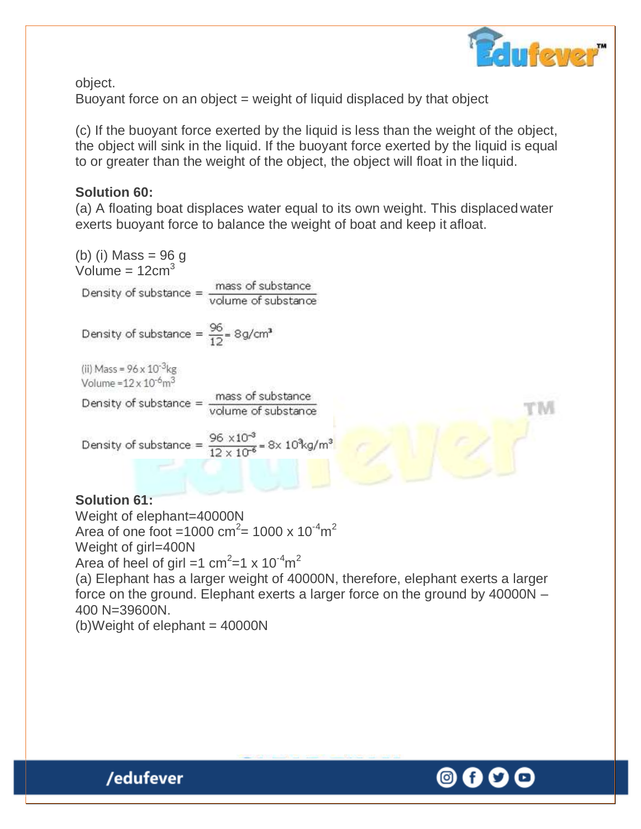

object.

Buoyant force on an object = weight of liquid displaced by that object

(c) If the buoyant force exerted by the liquid is less than the weight of the object, the object will sink in the liquid. If the buoyant force exerted by the liquid is equal to or greater than the weight of the object, the object will float in the liquid.

## **Solution 60:**

(a) A floating boat displaces water equal to its own weight. This displaced water exerts buoyant force to balance the weight of boat and keep it afloat.

(b) (i) Mass = 96 g Volume =  $12 \text{cm}^3$ Density of substance  $=$   $\frac{\text{mass of substance}}{\text{volume of substance}}$ Density of substance =  $\frac{96}{12}$  = 8g/cm<sup>3</sup> (ii) Mass =  $96 \times 10^{-3}$ kg Volume =  $12 \times 10^{-6}$ m<sup>3</sup> Density of substance  $=$   $\frac{\text{mass of substance}}{\text{volume of substance}}$ Density of substance =  $\frac{96 \times 10^{-3}}{12 \times 10^{-6}}$  = 8x 10 kg/m<sup>3</sup>

**Solution 61:** Weight of elephant=40000N Area of one foot =1000 cm<sup>2</sup> = 1000 x 10<sup>-4</sup>m<sup>2</sup> Weight of girl=400N Area of heel of girl =1  $\text{cm}^2$ =1 x 10<sup>-4</sup>m<sup>2</sup> (a) Elephant has a larger weight of 40000N, therefore, elephant exerts a larger force on the ground. Elephant exerts a larger force on the ground by 40000N – 400 N=39600N.  $(b)$ Weight of elephant = 40000N

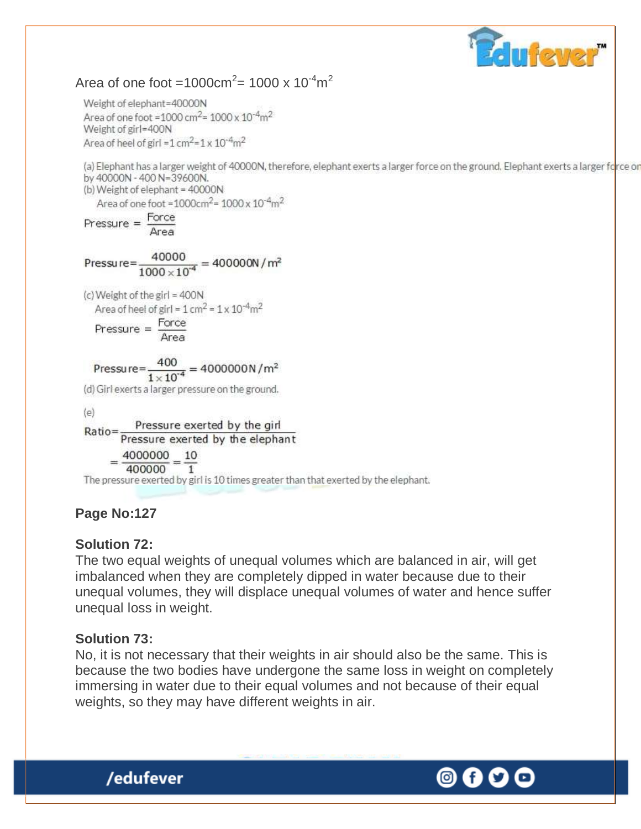

# Area of one foot =1000cm<sup>2</sup>= 1000 x 10<sup>-4</sup>m<sup>2</sup>

Weight of elephant=40000N Area of one foot =  $1000 \text{ cm}^2$  =  $1000 \times 10^{-4} \text{m}^2$ Weight of girl=400N Area of heel of girl =  $1 \text{ cm}^2$  =  $1 \times 10^{-4} \text{m}^2$ 

(a) Elephant has a larger weight of 40000N, therefore, elephant exerts a larger force on the ground. Elephant exerts a larger force on by 40000N - 400 N=39600N. (b) Weight of elephant = 40000N Area of one foot =  $1000 \text{cm}^2$  =  $1000 \times 10^{-4} \text{m}^2$ Pressure =  $\frac{Force}{Area}$ Pressure= $\frac{40000}{1000 \times 10^{-4}} = 400000 \text{N/m}^2$ (c) Weight of the girl = 400N Area of heel of girl =  $1 \text{ cm}^2$  =  $1 \times 10^{-4} \text{m}^2$  $\mathsf{Press} \mathsf{ure} = \frac{\mathsf{Force}}{\mathsf{Area}}$ Pressure= $\frac{400}{1 \times 10^{-4}}$  = 40000000 N/m<sup>2</sup> (d) Girl exerts a larger pressure on the ground.  $(e)$ Ratio= Pressure exerted by the girl<br>Pressure exerted by the elephant  $=\frac{4000000}{400000}=\frac{10}{1}$ The pressure exerted by girl is 10 times greater than that exerted by the elephant. **Page No:127** 

## **Solution 72:**

The two equal weights of unequal volumes which are balanced in air, will get imbalanced when they are completely dipped in water because due to their unequal volumes, they will displace unequal volumes of water and hence suffer unequal loss in weight.

## **Solution 73:**

/edufever

No, it is not necessary that their weights in air should also be the same. This is because the two bodies have undergone the same loss in weight on completely immersing in water due to their equal volumes and not because of their equal weights, so they may have different weights in air.